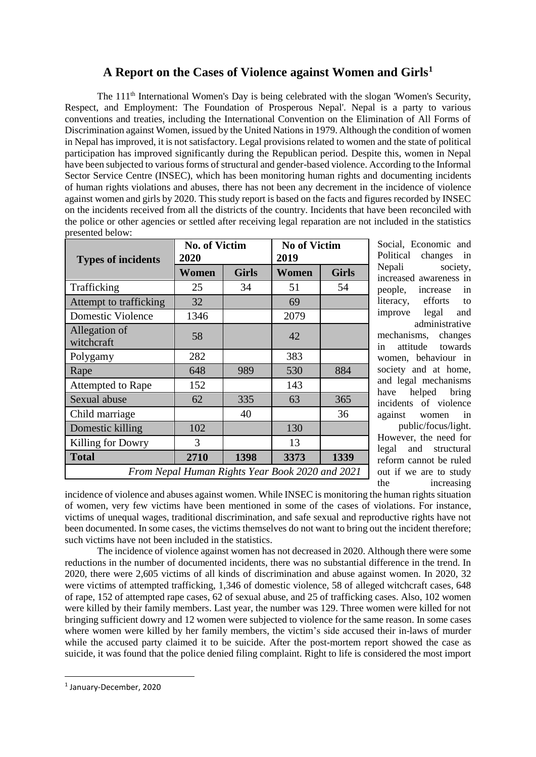# **A Report on the Cases of Violence against Women and Girls<sup>1</sup>**

The 111<sup>th</sup> International Women's Day is being celebrated with the slogan 'Women's Security, Respect, and Employment: The Foundation of Prosperous Nepal'. Nepal is a party to various conventions and treaties, including the International Convention on the Elimination of All Forms of Discrimination against Women, issued by the United Nations in 1979. Although the condition of women in Nepal has improved, it is not satisfactory. Legal provisions related to women and the state of political participation has improved significantly during the Republican period. Despite this, women in Nepal have been subjected to various forms of structural and gender-based violence. According to the Informal Sector Service Centre (INSEC), which has been monitoring human rights and documenting incidents of human rights violations and abuses, there has not been any decrement in the incidence of violence against women and girls by 2020. This study report is based on the facts and figures recorded by INSEC on the incidents received from all the districts of the country. Incidents that have been reconciled with the police or other agencies or settled after receiving legal reparation are not included in the statistics presented below:

| <b>Types of incidents</b>                       | <b>No. of Victim</b><br>2020 |              | <b>No of Victim</b><br>2019 |              |  |  |  |  |
|-------------------------------------------------|------------------------------|--------------|-----------------------------|--------------|--|--|--|--|
|                                                 | Women                        | <b>Girls</b> | Women                       | <b>Girls</b> |  |  |  |  |
| Trafficking                                     | 25                           | 34           | 51                          | 54           |  |  |  |  |
| Attempt to trafficking                          | 32                           |              | 69                          |              |  |  |  |  |
| Domestic Violence                               | 1346                         |              | 2079                        |              |  |  |  |  |
| Allegation of<br>witchcraft                     | 58                           |              | 42                          |              |  |  |  |  |
| Polygamy                                        | 282                          |              | 383                         |              |  |  |  |  |
| Rape                                            | 648                          | 989          | 530                         | 884          |  |  |  |  |
| Attempted to Rape                               | 152                          |              | 143                         |              |  |  |  |  |
| Sexual abuse                                    | 62                           | 335          | 63                          | 365          |  |  |  |  |
| Child marriage                                  |                              | 40           |                             | 36           |  |  |  |  |
| Domestic killing                                | 102                          |              | 130                         |              |  |  |  |  |
| Killing for Dowry                               | 3                            |              | 13                          |              |  |  |  |  |
| <b>Total</b>                                    | 2710                         | 1398         | 3373                        | 1339         |  |  |  |  |
| From Nepal Human Rights Year Book 2020 and 2021 |                              |              |                             |              |  |  |  |  |

Social, Economic and Political changes in Nepali society, increased awareness in people, increase in literacy, efforts to improve legal and administrative mechanisms, changes in attitude towards women, behaviour in society and at home, and legal mechanisms have helped bring incidents of violence against women in public/focus/light. However, the need for legal and structural reform cannot be ruled out if we are to study the increasing

incidence of violence and abuses against women. While INSEC is monitoring the human rights situation of women, very few victims have been mentioned in some of the cases of violations. For instance, victims of unequal wages, traditional discrimination, and safe sexual and reproductive rights have not been documented. In some cases, the victims themselves do not want to bring out the incident therefore; such victims have not been included in the statistics.

The incidence of violence against women has not decreased in 2020. Although there were some reductions in the number of documented incidents, there was no substantial difference in the trend. In 2020, there were 2,605 victims of all kinds of discrimination and abuse against women. In 2020, 32 were victims of attempted trafficking, 1,346 of domestic violence, 58 of alleged witchcraft cases, 648 of rape, 152 of attempted rape cases, 62 of sexual abuse, and 25 of trafficking cases. Also, 102 women were killed by their family members. Last year, the number was 129. Three women were killed for not bringing sufficient dowry and 12 women were subjected to violence for the same reason. In some cases where women were killed by her family members, the victim's side accused their in-laws of murder while the accused party claimed it to be suicide. After the post-mortem report showed the case as suicide, it was found that the police denied filing complaint. Right to life is considered the most import

**.** 

<sup>1</sup> January-December, 2020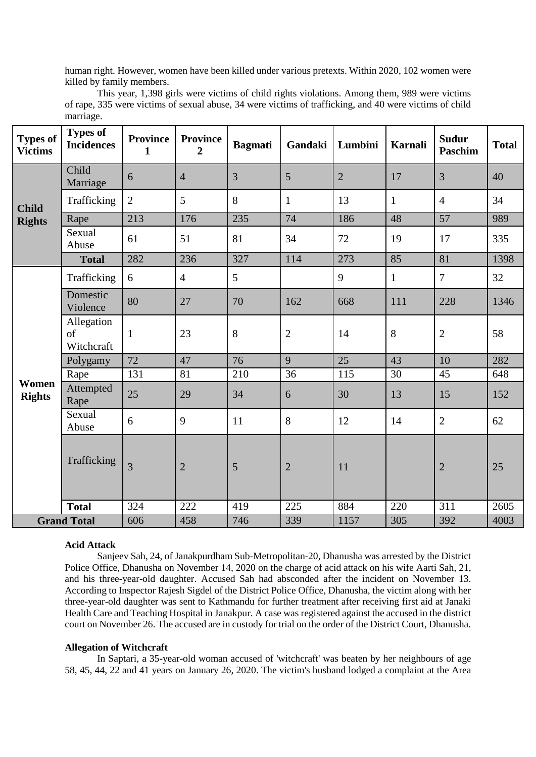human right. However, women have been killed under various pretexts. Within 2020, 102 women were killed by family members.

| This year, 1,398 girls were victims of child rights violations. Among them, 989 were victims            |  |
|---------------------------------------------------------------------------------------------------------|--|
| of rape, 335 were victims of sexual abuse, 34 were victims of trafficking, and 40 were victims of child |  |
| marriage.                                                                                               |  |

| <b>Types of</b><br><b>Victims</b> | <b>Types of</b><br><b>Incidences</b> | <b>Province</b><br>$\mathbf{1}$ | <b>Province</b><br>$\overline{2}$ | <b>Bagmati</b> | Gandaki        | Lumbini        | <b>Karnali</b> | <b>Sudur</b><br><b>Paschim</b> | <b>Total</b> |
|-----------------------------------|--------------------------------------|---------------------------------|-----------------------------------|----------------|----------------|----------------|----------------|--------------------------------|--------------|
| <b>Child</b><br><b>Rights</b>     | Child<br>Marriage                    | 6                               | $\overline{4}$                    | 3              | 5              | $\overline{2}$ | 17             | $\overline{3}$                 | 40           |
|                                   | Trafficking                          | $\overline{2}$                  | 5                                 | 8              | $\mathbf{1}$   | 13             | $\mathbf{1}$   | $\overline{4}$                 | 34           |
|                                   | Rape                                 | 213                             | 176                               | 235            | 74             | 186            | 48             | 57                             | 989          |
|                                   | Sexual<br>Abuse                      | 61                              | 51                                | 81             | 34             | 72             | 19             | 17                             | 335          |
|                                   | <b>Total</b>                         | 282                             | 236                               | 327            | 114            | 273            | 85             | 81                             | 1398         |
| Women<br><b>Rights</b>            | Trafficking                          | 6                               | $\overline{4}$                    | 5              |                | 9              | $\mathbf{1}$   | $\overline{7}$                 | 32           |
|                                   | Domestic<br>Violence                 | 80                              | 27                                | 70             | 162            | 668            | 111            | 228                            | 1346         |
|                                   | Allegation<br>of<br>Witchcraft       | $\mathbf{1}$                    | 23                                | 8              | $\overline{2}$ | 14             | 8              | $\overline{2}$                 | 58           |
|                                   | Polygamy                             | 72                              | 47                                | 76             | 9              | 25             | 43             | 10                             | 282          |
|                                   | Rape                                 | 131                             | 81                                | 210            | 36             | 115            | 30             | 45                             | 648          |
|                                   | Attempted<br>Rape                    | 25                              | 29                                | 34             | 6              | 30             | 13             | 15                             | 152          |
|                                   | Sexual<br>Abuse                      | 6                               | 9                                 | 11             | 8              | 12             | 14             | $\overline{2}$                 | 62           |
|                                   | Trafficking                          | $\overline{3}$                  | $\overline{2}$                    | 5              | $\overline{2}$ | 11             |                | $\overline{2}$                 | 25           |
|                                   | <b>Total</b>                         | 324                             | 222                               | 419            | 225            | 884            | 220            | 311                            | 2605         |
| <b>Grand Total</b>                |                                      | 606                             | 458                               | 746            | 339            | 1157           | 305            | 392                            | 4003         |

### **Acid Attack**

Sanjeev Sah, 24, of Janakpurdham Sub-Metropolitan-20, Dhanusha was arrested by the District Police Office, Dhanusha on November 14, 2020 on the charge of acid attack on his wife Aarti Sah, 21, and his three-year-old daughter. Accused Sah had absconded after the incident on November 13. According to Inspector Rajesh Sigdel of the District Police Office, Dhanusha, the victim along with her three-year-old daughter was sent to Kathmandu for further treatment after receiving first aid at Janaki Health Care and Teaching Hospital in Janakpur. A case was registered against the accused in the district court on November 26. The accused are in custody for trial on the order of the District Court, Dhanusha.

### **Allegation of Witchcraft**

In Saptari, a 35-year-old woman accused of 'witchcraft' was beaten by her neighbours of age 58, 45, 44, 22 and 41 years on January 26, 2020. The victim's husband lodged a complaint at the Area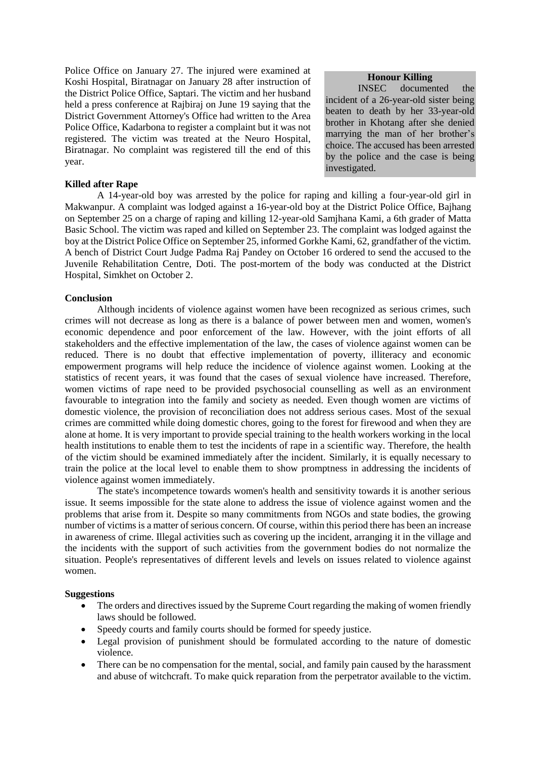Police Office on January 27. The injured were examined at Koshi Hospital, Biratnagar on January 28 after instruction of the District Police Office, Saptari. The victim and her husband held a press conference at Rajbiraj on June 19 saying that the District Government Attorney's Office had written to the Area Police Office, Kadarbona to register a complaint but it was not registered. The victim was treated at the Neuro Hospital, Biratnagar. No complaint was registered till the end of this year.

## **Killed after Rape**

A 14-year-old boy was arrested by the police for raping and killing a four-year-old girl in Makwanpur. A complaint was lodged against a 16-year-old boy at the District Police Office, Bajhang on September 25 on a charge of raping and killing 12-year-old Samjhana Kami, a 6th grader of Matta Basic School. The victim was raped and killed on September 23. The complaint was lodged against the boy at the District Police Office on September 25, informed Gorkhe Kami, 62, grandfather of the victim. A bench of District Court Judge Padma Raj Pandey on October 16 ordered to send the accused to the Juvenile Rehabilitation Centre, Doti. The post-mortem of the body was conducted at the District Hospital, Simkhet on October 2.

## **Conclusion**

Although incidents of violence against women have been recognized as serious crimes, such crimes will not decrease as long as there is a balance of power between men and women, women's economic dependence and poor enforcement of the law. However, with the joint efforts of all stakeholders and the effective implementation of the law, the cases of violence against women can be reduced. There is no doubt that effective implementation of poverty, illiteracy and economic empowerment programs will help reduce the incidence of violence against women. Looking at the statistics of recent years, it was found that the cases of sexual violence have increased. Therefore, women victims of rape need to be provided psychosocial counselling as well as an environment favourable to integration into the family and society as needed. Even though women are victims of domestic violence, the provision of reconciliation does not address serious cases. Most of the sexual crimes are committed while doing domestic chores, going to the forest for firewood and when they are alone at home. It is very important to provide special training to the health workers working in the local health institutions to enable them to test the incidents of rape in a scientific way. Therefore, the health of the victim should be examined immediately after the incident. Similarly, it is equally necessary to train the police at the local level to enable them to show promptness in addressing the incidents of violence against women immediately.

The state's incompetence towards women's health and sensitivity towards it is another serious issue. It seems impossible for the state alone to address the issue of violence against women and the problems that arise from it. Despite so many commitments from NGOs and state bodies, the growing number of victims is a matter of serious concern. Of course, within this period there has been an increase in awareness of crime. Illegal activities such as covering up the incident, arranging it in the village and the incidents with the support of such activities from the government bodies do not normalize the situation. People's representatives of different levels and levels on issues related to violence against women.

#### **Suggestions**

- The orders and directives issued by the Supreme Court regarding the making of women friendly laws should be followed.
- Speedy courts and family courts should be formed for speedy justice.
- Legal provision of punishment should be formulated according to the nature of domestic violence.
- There can be no compensation for the mental, social, and family pain caused by the harassment and abuse of witchcraft. To make quick reparation from the perpetrator available to the victim.

# **Honour Killing**

INSEC documented the incident of a 26-year-old sister being beaten to death by her 33-year-old brother in Khotang after she denied marrying the man of her brother's choice. The accused has been arrested by the police and the case is being investigated.